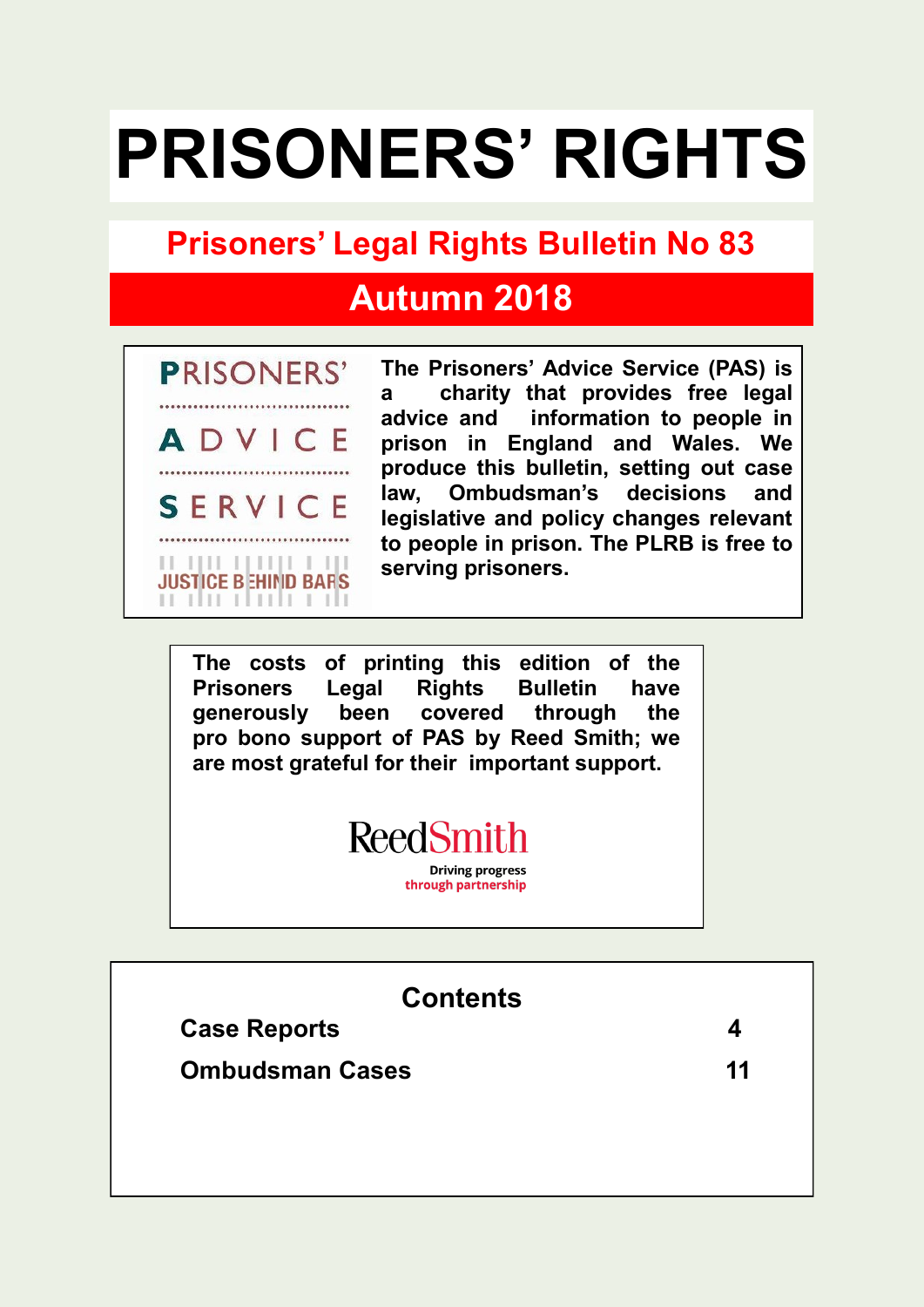# **PRISONERS' RIGHTS**

# **Prisoners' Legal Rights Bulletin No 83**

# **Autumn 2018**



**The Prisoners' Advice Service (PAS) is a charity that provides free legal advice and information to people in prison in England and Wales. We produce this bulletin, setting out case law, Ombudsman's decisions and legislative and policy changes relevant to people in prison. The PLRB is free to serving prisoners.**

**The costs of printing this edition of the Prisoners Legal Rights Bulletin have generously been covered through the pro bono support of PAS by Reed Smith; we are most grateful for their important support.** 



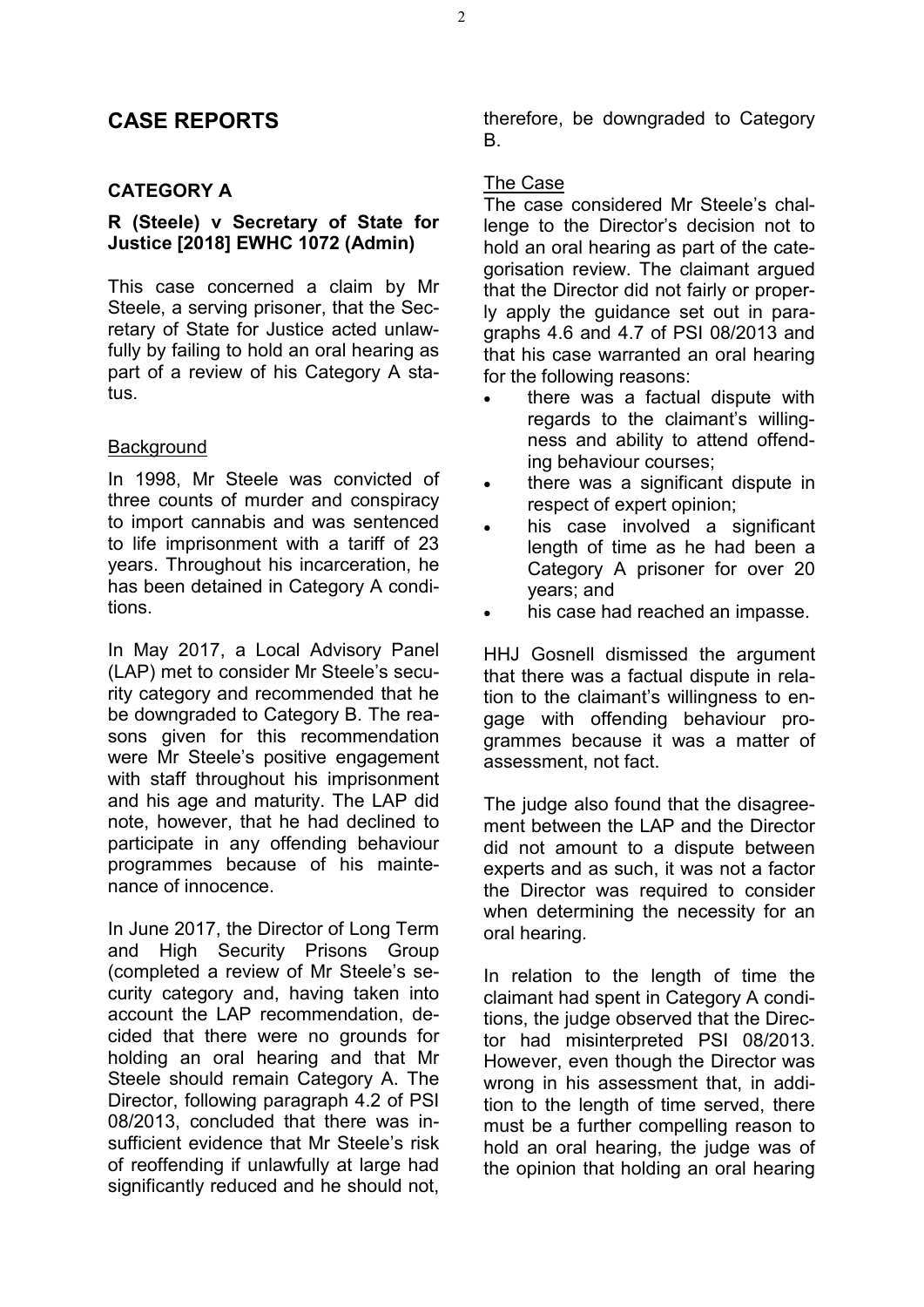# **CASE REPORTS**

## **CATEGORY A**

## **R (Steele) v Secretary of State for Justice [2018] EWHC 1072 (Admin)**

This case concerned a claim by Mr Steele, a serving prisoner, that the Secretary of State for Justice acted unlawfully by failing to hold an oral hearing as part of a review of his Category A status.

#### **Background**

In 1998, Mr Steele was convicted of three counts of murder and conspiracy to import cannabis and was sentenced to life imprisonment with a tariff of 23 years. Throughout his incarceration, he has been detained in Category A conditions.

In May 2017, a Local Advisory Panel (LAP) met to consider Mr Steele's security category and recommended that he be downgraded to Category B. The reasons given for this recommendation were Mr Steele's positive engagement with staff throughout his imprisonment and his age and maturity. The LAP did note, however, that he had declined to participate in any offending behaviour programmes because of his maintenance of innocence.

In June 2017, the Director of Long Term and High Security Prisons Group (completed a review of Mr Steele's security category and, having taken into account the LAP recommendation, decided that there were no grounds for holding an oral hearing and that Mr Steele should remain Category A. The Director, following paragraph 4.2 of PSI 08/2013, concluded that there was insufficient evidence that Mr Steele's risk of reoffending if unlawfully at large had significantly reduced and he should not, therefore, be downgraded to Category B.

#### The Case

The case considered Mr Steele's challenge to the Director's decision not to hold an oral hearing as part of the categorisation review. The claimant argued that the Director did not fairly or properly apply the guidance set out in paragraphs 4.6 and 4.7 of PSI 08/2013 and that his case warranted an oral hearing for the following reasons:

- there was a factual dispute with regards to the claimant's willingness and ability to attend offending behaviour courses;
- there was a significant dispute in respect of expert opinion;
- his case involved a significant length of time as he had been a Category A prisoner for over 20 years; and
- his case had reached an impasse.

HHJ Gosnell dismissed the argument that there was a factual dispute in relation to the claimant's willingness to engage with offending behaviour programmes because it was a matter of assessment, not fact.

The judge also found that the disagreement between the LAP and the Director did not amount to a dispute between experts and as such, it was not a factor the Director was required to consider when determining the necessity for an oral hearing.

In relation to the length of time the claimant had spent in Category A conditions, the judge observed that the Director had misinterpreted PSI 08/2013. However, even though the Director was wrong in his assessment that, in addition to the length of time served, there must be a further compelling reason to hold an oral hearing, the judge was of the opinion that holding an oral hearing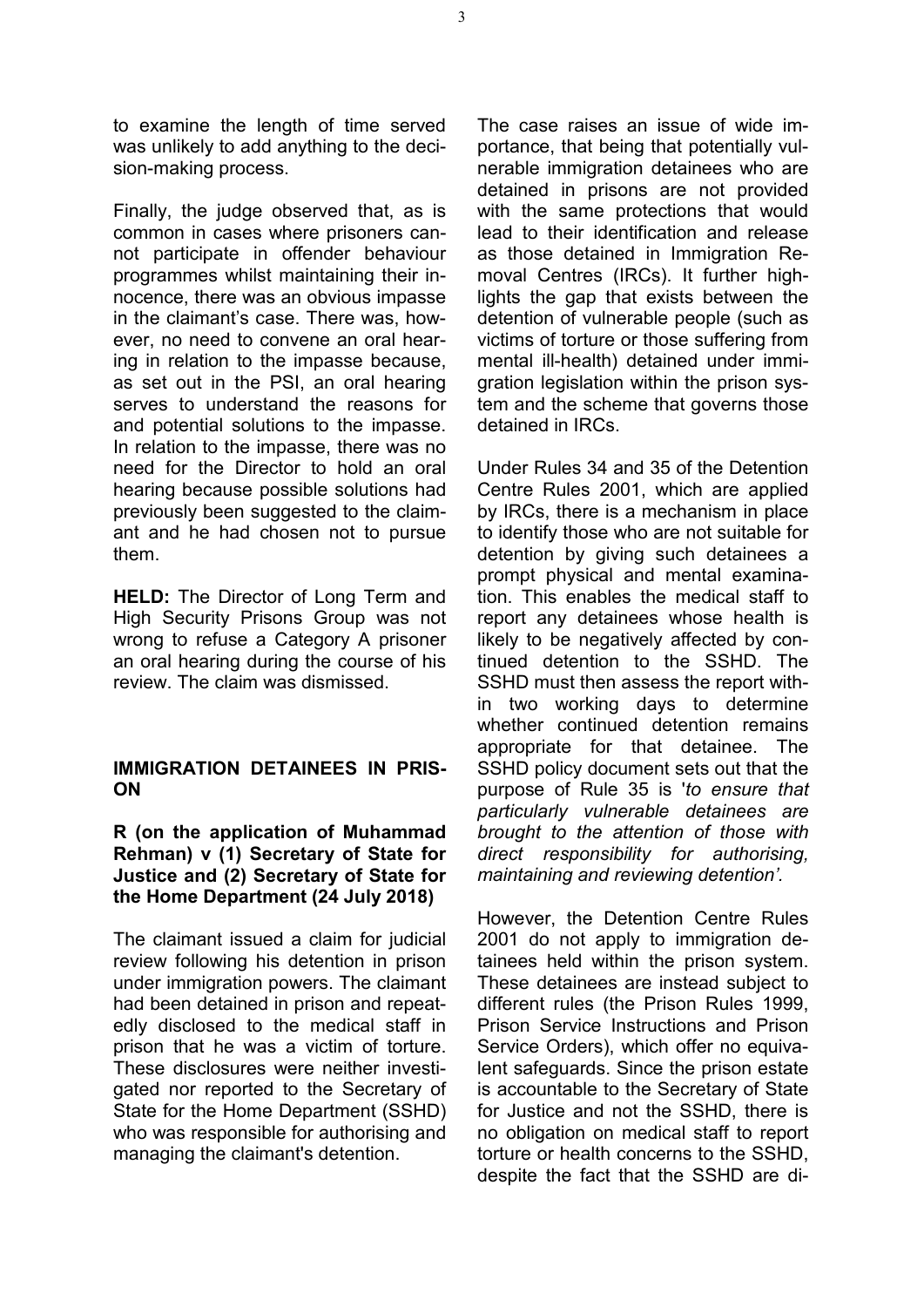to examine the length of time served was unlikely to add anything to the decision-making process.

Finally, the judge observed that, as is common in cases where prisoners cannot participate in offender behaviour programmes whilst maintaining their innocence, there was an obvious impasse in the claimant's case. There was, however, no need to convene an oral hearing in relation to the impasse because, as set out in the PSI, an oral hearing serves to understand the reasons for and potential solutions to the impasse. In relation to the impasse, there was no need for the Director to hold an oral hearing because possible solutions had previously been suggested to the claimant and he had chosen not to pursue them.

**HELD:** The Director of Long Term and High Security Prisons Group was not wrong to refuse a Category A prisoner an oral hearing during the course of his review. The claim was dismissed.

#### **IMMIGRATION DETAINEES IN PRIS-ON**

#### **R (on the application of Muhammad Rehman) v (1) Secretary of State for Justice and (2) Secretary of State for the Home Department (24 July 2018)**

The claimant issued a claim for judicial review following his detention in prison under immigration powers. The claimant had been detained in prison and repeatedly disclosed to the medical staff in prison that he was a victim of torture. These disclosures were neither investigated nor reported to the Secretary of State for the Home Department (SSHD) who was responsible for authorising and managing the claimant's detention.

The case raises an issue of wide importance, that being that potentially vulnerable immigration detainees who are detained in prisons are not provided with the same protections that would lead to their identification and release as those detained in Immigration Removal Centres (IRCs). It further highlights the gap that exists between the detention of vulnerable people (such as victims of torture or those suffering from mental ill-health) detained under immigration legislation within the prison system and the scheme that governs those detained in IRCs.

Under Rules 34 and 35 of the Detention Centre Rules 2001, which are applied by IRCs, there is a mechanism in place to identify those who are not suitable for detention by giving such detainees a prompt physical and mental examination. This enables the medical staff to report any detainees whose health is likely to be negatively affected by continued detention to the SSHD. The SSHD must then assess the report within two working days to determine whether continued detention remains appropriate for that detainee. The SSHD policy document sets out that the purpose of Rule 35 is '*to ensure that particularly vulnerable detainees are brought to the attention of those with direct responsibility for authorising, maintaining and reviewing detention'.*

However, the Detention Centre Rules 2001 do not apply to immigration detainees held within the prison system. These detainees are instead subject to different rules (the Prison Rules 1999, Prison Service Instructions and Prison Service Orders), which offer no equivalent safeguards. Since the prison estate is accountable to the Secretary of State for Justice and not the SSHD, there is no obligation on medical staff to report torture or health concerns to the SSHD, despite the fact that the SSHD are di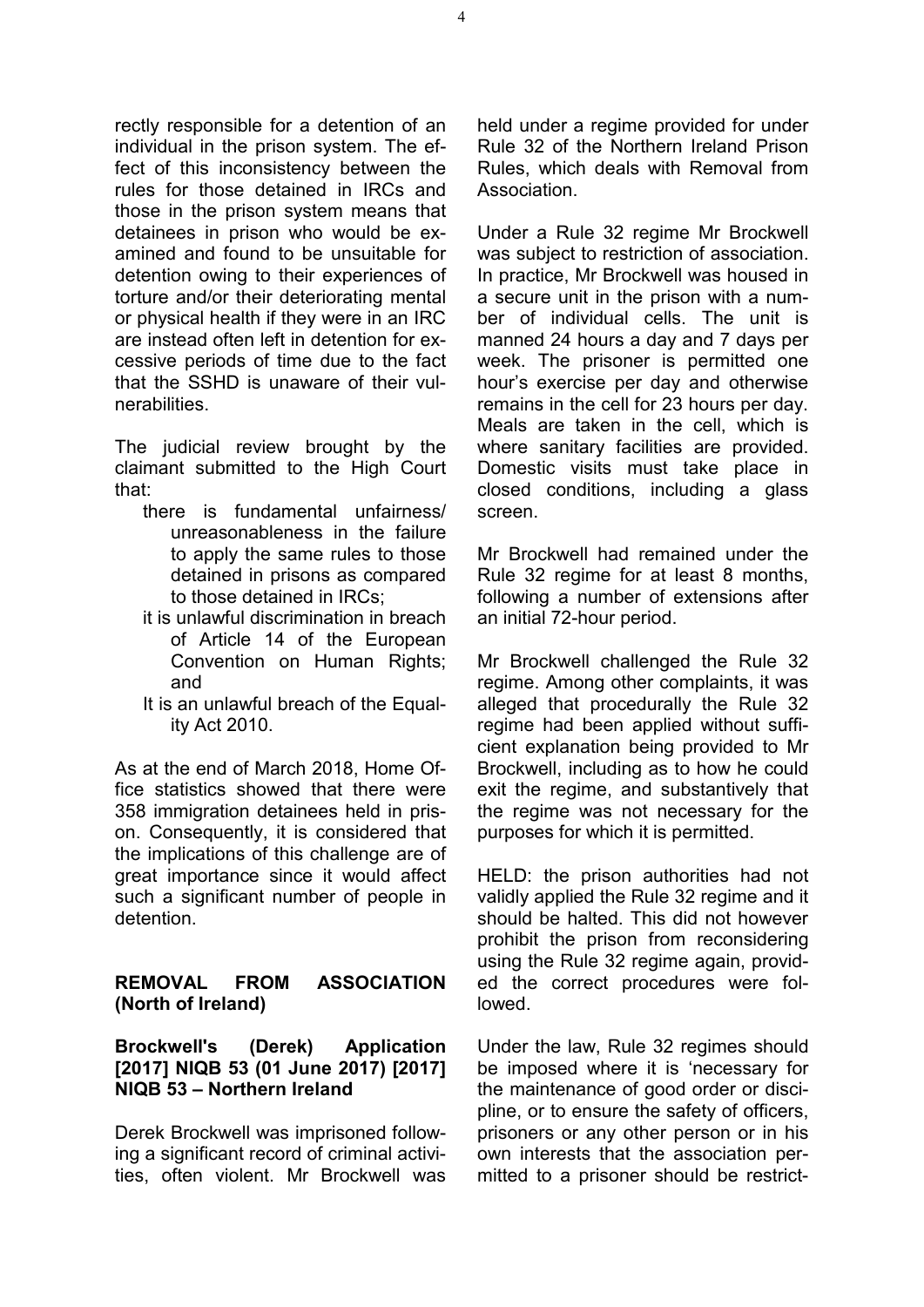rectly responsible for a detention of an individual in the prison system. The effect of this inconsistency between the rules for those detained in IRCs and those in the prison system means that detainees in prison who would be examined and found to be unsuitable for detention owing to their experiences of torture and/or their deteriorating mental or physical health if they were in an IRC are instead often left in detention for excessive periods of time due to the fact that the SSHD is unaware of their vulnerabilities.

The judicial review brought by the claimant submitted to the High Court that:

- there is fundamental unfairness/ unreasonableness in the failure to apply the same rules to those detained in prisons as compared to those detained in IRCs;
- it is unlawful discrimination in breach of Article 14 of the European Convention on Human Rights; and
- It is an unlawful breach of the Equality Act 2010.

As at the end of March 2018, Home Office statistics showed that there were 358 immigration detainees held in prison. Consequently, it is considered that the implications of this challenge are of great importance since it would affect such a significant number of people in detention.

#### **REMOVAL FROM ASSOCIATION (North of Ireland)**

# **Brockwell's (Derek) Application [2017] NIQB 53 (01 June 2017) [2017] NIQB 53 – Northern Ireland**

Derek Brockwell was imprisoned following a significant record of criminal activities, often violent. Mr Brockwell was held under a regime provided for under Rule 32 of the Northern Ireland Prison Rules, which deals with Removal from Association.

Under a Rule 32 regime Mr Brockwell was subject to restriction of association. In practice, Mr Brockwell was housed in a secure unit in the prison with a number of individual cells. The unit is manned 24 hours a day and 7 days per week. The prisoner is permitted one hour's exercise per day and otherwise remains in the cell for 23 hours per day. Meals are taken in the cell, which is where sanitary facilities are provided. Domestic visits must take place in closed conditions, including a glass screen.

Mr Brockwell had remained under the Rule 32 regime for at least 8 months, following a number of extensions after an initial 72-hour period.

Mr Brockwell challenged the Rule 32 regime. Among other complaints, it was alleged that procedurally the Rule 32 regime had been applied without sufficient explanation being provided to Mr Brockwell, including as to how he could exit the regime, and substantively that the regime was not necessary for the purposes for which it is permitted.

HELD: the prison authorities had not validly applied the Rule 32 regime and it should be halted. This did not however prohibit the prison from reconsidering using the Rule 32 regime again, provided the correct procedures were followed.

Under the law, Rule 32 regimes should be imposed where it is 'necessary for the maintenance of good order or discipline, or to ensure the safety of officers, prisoners or any other person or in his own interests that the association permitted to a prisoner should be restrict-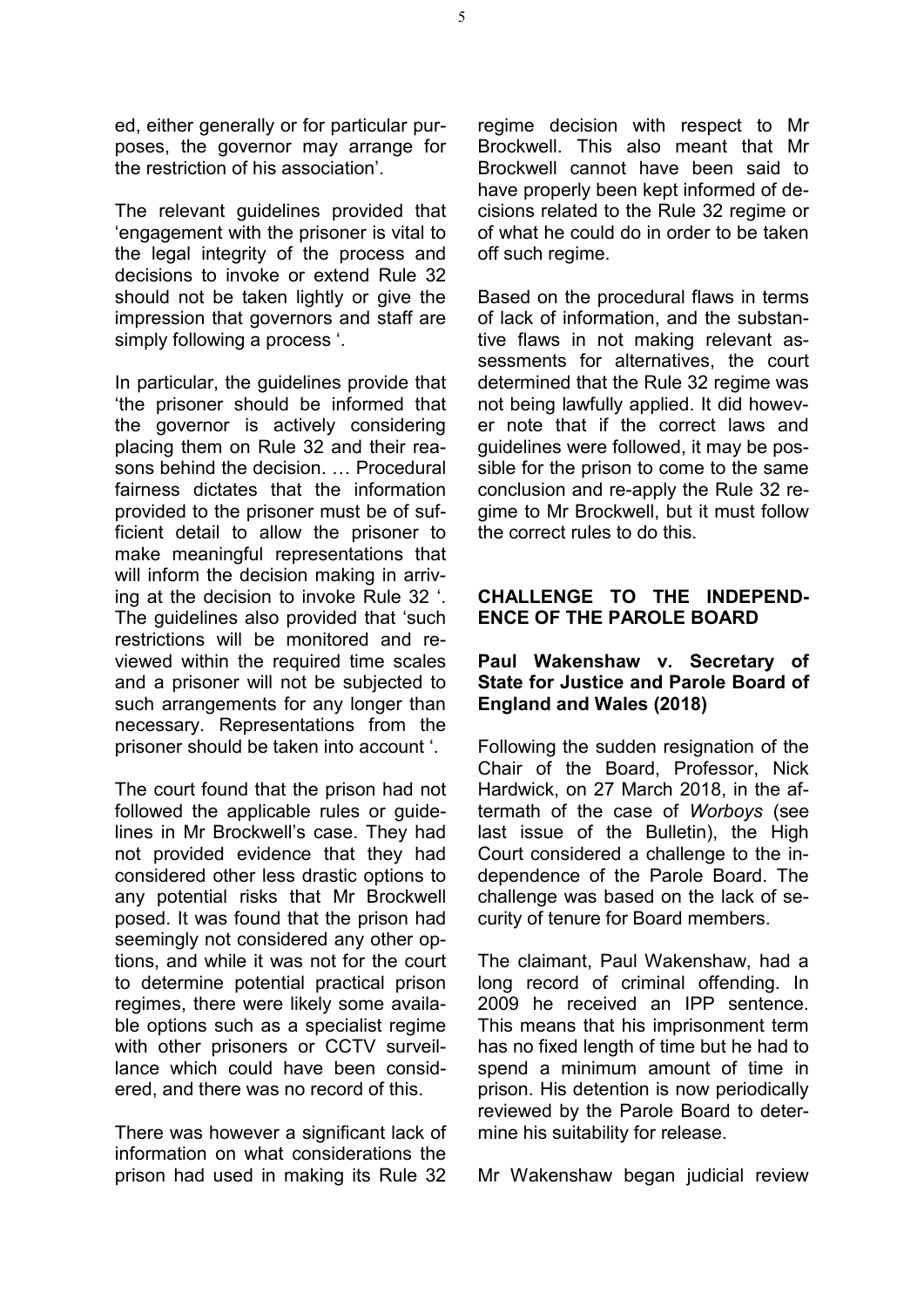ed, either generally or for particular purposes, the governor may arrange for the restriction of his association'.

The relevant guidelines provided that 'engagement with the prisoner is vital to the legal integrity of the process and decisions to invoke or extend Rule 32 should not be taken lightly or give the impression that governors and staff are simply following a process '.

In particular, the guidelines provide that 'the prisoner should be informed that the governor is actively considering placing them on Rule 32 and their reasons behind the decision. … Procedural fairness dictates that the information provided to the prisoner must be of sufficient detail to allow the prisoner to make meaningful representations that will inform the decision making in arriving at the decision to invoke Rule 32 '. The guidelines also provided that 'such restrictions will be monitored and reviewed within the required time scales and a prisoner will not be subjected to such arrangements for any longer than necessary. Representations from the prisoner should be taken into account '.

The court found that the prison had not followed the applicable rules or guidelines in Mr Brockwell's case. They had not provided evidence that they had considered other less drastic options to any potential risks that Mr Brockwell posed. It was found that the prison had seemingly not considered any other options, and while it was not for the court to determine potential practical prison regimes, there were likely some available options such as a specialist regime with other prisoners or CCTV surveillance which could have been considered, and there was no record of this.

There was however a significant lack of information on what considerations the prison had used in making its Rule 32 regime decision with respect to Mr Brockwell. This also meant that Mr Brockwell cannot have been said to have properly been kept informed of decisions related to the Rule 32 regime or of what he could do in order to be taken off such regime.

Based on the procedural flaws in terms of lack of information, and the substantive flaws in not making relevant assessments for alternatives, the court determined that the Rule 32 regime was not being lawfully applied. It did however note that if the correct laws and guidelines were followed, it may be possible for the prison to come to the same conclusion and re-apply the Rule 32 regime to Mr Brockwell, but it must follow the correct rules to do this.

# **CHALLENGE TO THE INDEPEND-ENCE OF THE PAROLE BOARD**

#### **Paul Wakenshaw v. Secretary of State for Justice and Parole Board of England and Wales (2018)**

Following the sudden resignation of the Chair of the Board, Professor, Nick Hardwick, on 27 March 2018, in the aftermath of the case of *Worboys* (see last issue of the Bulletin), the High Court considered a challenge to the independence of the Parole Board. The challenge was based on the lack of security of tenure for Board members.

The claimant, Paul Wakenshaw, had a long record of criminal offending. In 2009 he received an IPP sentence. This means that his imprisonment term has no fixed length of time but he had to spend a minimum amount of time in prison. His detention is now periodically reviewed by the Parole Board to determine his suitability for release.

Mr Wakenshaw began judicial review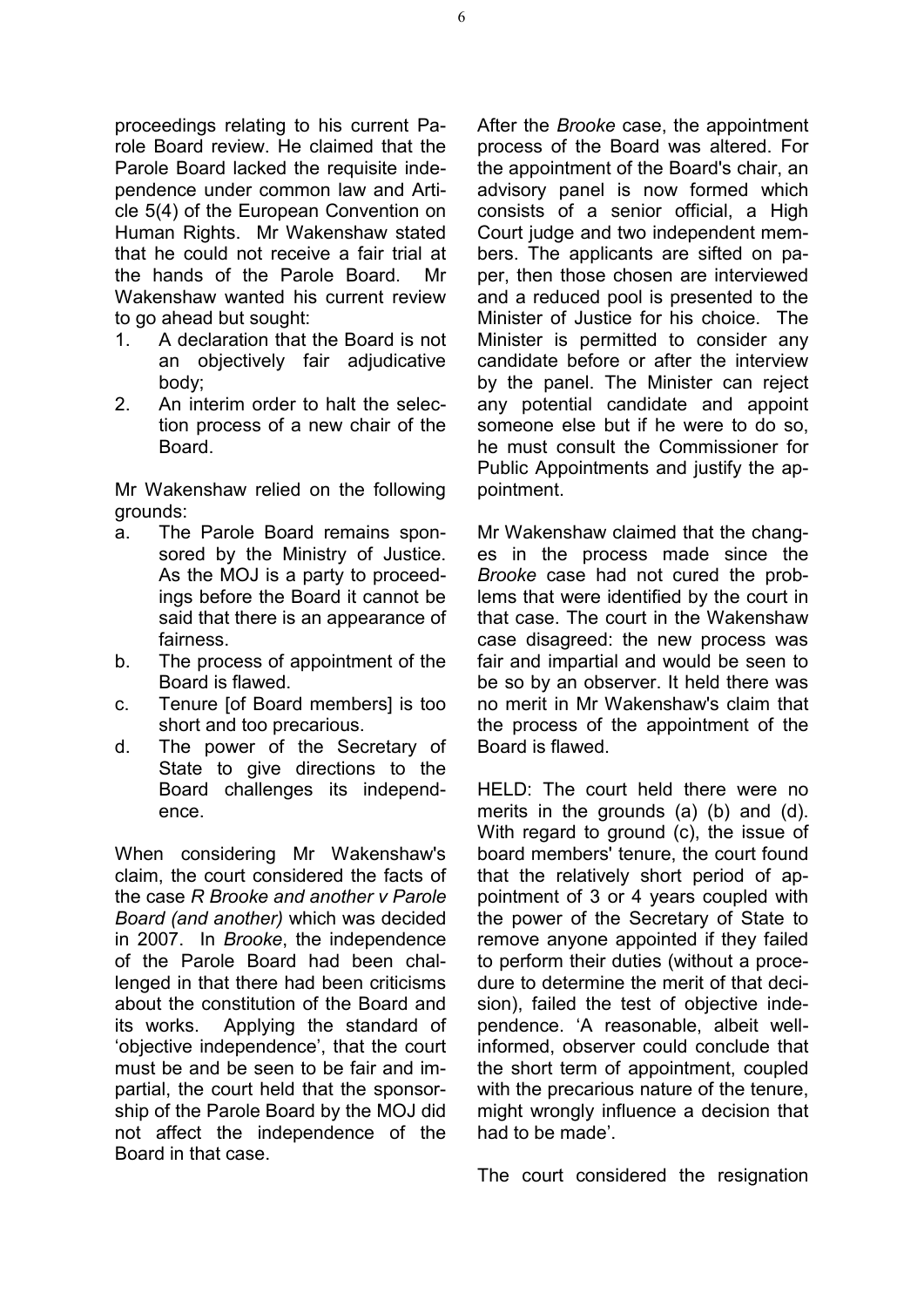proceedings relating to his current Parole Board review. He claimed that the Parole Board lacked the requisite independence under common law and Article 5(4) of the European Convention on Human Rights. Mr Wakenshaw stated that he could not receive a fair trial at the hands of the Parole Board. Mr Wakenshaw wanted his current review to go ahead but sought:

- 1. A declaration that the Board is not an objectively fair adjudicative body;
- 2. An interim order to halt the selection process of a new chair of the **Board**

Mr Wakenshaw relied on the following grounds:

- a. The Parole Board remains sponsored by the Ministry of Justice. As the MOJ is a party to proceedings before the Board it cannot be said that there is an appearance of fairness.
- b. The process of appointment of the Board is flawed.
- c. Tenure [of Board members] is too short and too precarious.
- d. The power of the Secretary of State to give directions to the Board challenges its independence.

When considering Mr Wakenshaw's claim, the court considered the facts of the case *R Brooke and another v Parole Board (and another)* which was decided in 2007. In *Brooke*, the independence of the Parole Board had been challenged in that there had been criticisms about the constitution of the Board and its works. Applying the standard of 'objective independence', that the court must be and be seen to be fair and impartial, the court held that the sponsorship of the Parole Board by the MOJ did not affect the independence of the Board in that case.

After the *Brooke* case, the appointment process of the Board was altered. For the appointment of the Board's chair, an advisory panel is now formed which consists of a senior official, a High Court judge and two independent members. The applicants are sifted on paper, then those chosen are interviewed and a reduced pool is presented to the Minister of Justice for his choice. The Minister is permitted to consider any candidate before or after the interview by the panel. The Minister can reject any potential candidate and appoint someone else but if he were to do so, he must consult the Commissioner for Public Appointments and justify the appointment.

Mr Wakenshaw claimed that the changes in the process made since the *Brooke* case had not cured the problems that were identified by the court in that case. The court in the Wakenshaw case disagreed: the new process was fair and impartial and would be seen to be so by an observer. It held there was no merit in Mr Wakenshaw's claim that the process of the appointment of the Board is flawed.

HELD: The court held there were no merits in the grounds (a) (b) and (d). With regard to ground (c), the issue of board members' tenure, the court found that the relatively short period of appointment of 3 or 4 years coupled with the power of the Secretary of State to remove anyone appointed if they failed to perform their duties (without a procedure to determine the merit of that decision), failed the test of objective independence. 'A reasonable, albeit wellinformed, observer could conclude that the short term of appointment, coupled with the precarious nature of the tenure, might wrongly influence a decision that had to be made'.

The court considered the resignation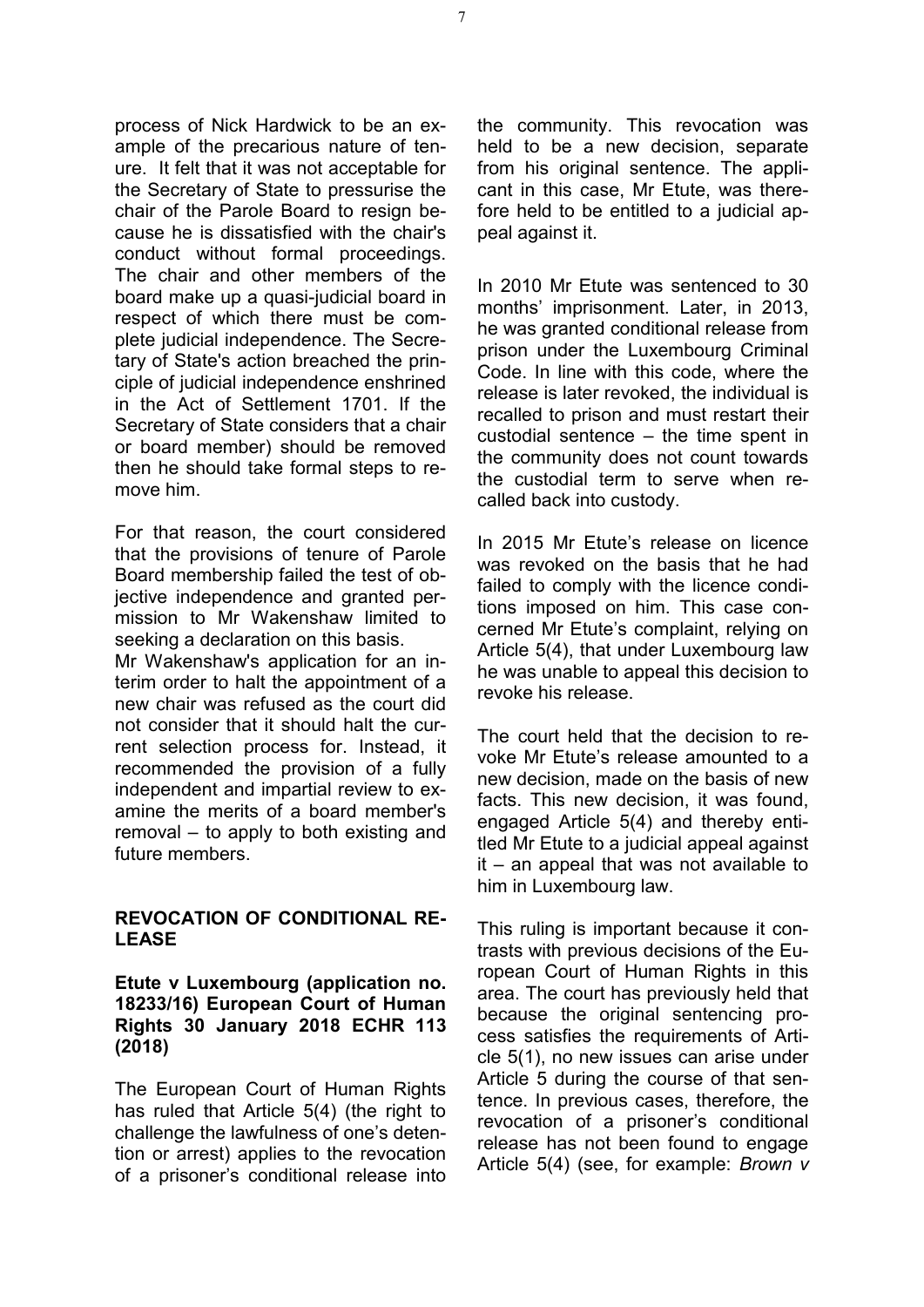process of Nick Hardwick to be an example of the precarious nature of tenure. It felt that it was not acceptable for the Secretary of State to pressurise the chair of the Parole Board to resign because he is dissatisfied with the chair's conduct without formal proceedings. The chair and other members of the board make up a quasi-judicial board in respect of which there must be complete judicial independence. The Secretary of State's action breached the principle of judicial independence enshrined in the Act of Settlement 1701. If the Secretary of State considers that a chair or board member) should be removed then he should take formal steps to remove him.

For that reason, the court considered that the provisions of tenure of Parole Board membership failed the test of objective independence and granted permission to Mr Wakenshaw limited to seeking a declaration on this basis.

Mr Wakenshaw's application for an interim order to halt the appointment of a new chair was refused as the court did not consider that it should halt the current selection process for. Instead, it recommended the provision of a fully independent and impartial review to examine the merits of a board member's removal – to apply to both existing and future members.

#### **REVOCATION OF CONDITIONAL RE-LEASE**

#### **Etute v Luxembourg (application no. 18233/16) European Court of Human Rights 30 January 2018 ECHR 113 (2018)**

The European Court of Human Rights has ruled that Article 5(4) (the right to challenge the lawfulness of one's detention or arrest) applies to the revocation of a prisoner's conditional release into

the community. This revocation was held to be a new decision, separate from his original sentence. The applicant in this case, Mr Etute, was therefore held to be entitled to a judicial appeal against it.

In 2010 Mr Etute was sentenced to 30 months' imprisonment. Later, in 2013, he was granted conditional release from prison under the Luxembourg Criminal Code. In line with this code, where the release is later revoked, the individual is recalled to prison and must restart their custodial sentence – the time spent in the community does not count towards the custodial term to serve when recalled back into custody.

In 2015 Mr Etute's release on licence was revoked on the basis that he had failed to comply with the licence conditions imposed on him. This case concerned Mr Etute's complaint, relying on Article 5(4), that under Luxembourg law he was unable to appeal this decision to revoke his release.

The court held that the decision to revoke Mr Etute's release amounted to a new decision, made on the basis of new facts. This new decision, it was found, engaged Article 5(4) and thereby entitled Mr Etute to a judicial appeal against it – an appeal that was not available to him in Luxembourg law.

This ruling is important because it contrasts with previous decisions of the European Court of Human Rights in this area. The court has previously held that because the original sentencing process satisfies the requirements of Article 5(1), no new issues can arise under Article 5 during the course of that sentence. In previous cases, therefore, the revocation of a prisoner's conditional release has not been found to engage Article 5(4) (see, for example: *Brown v*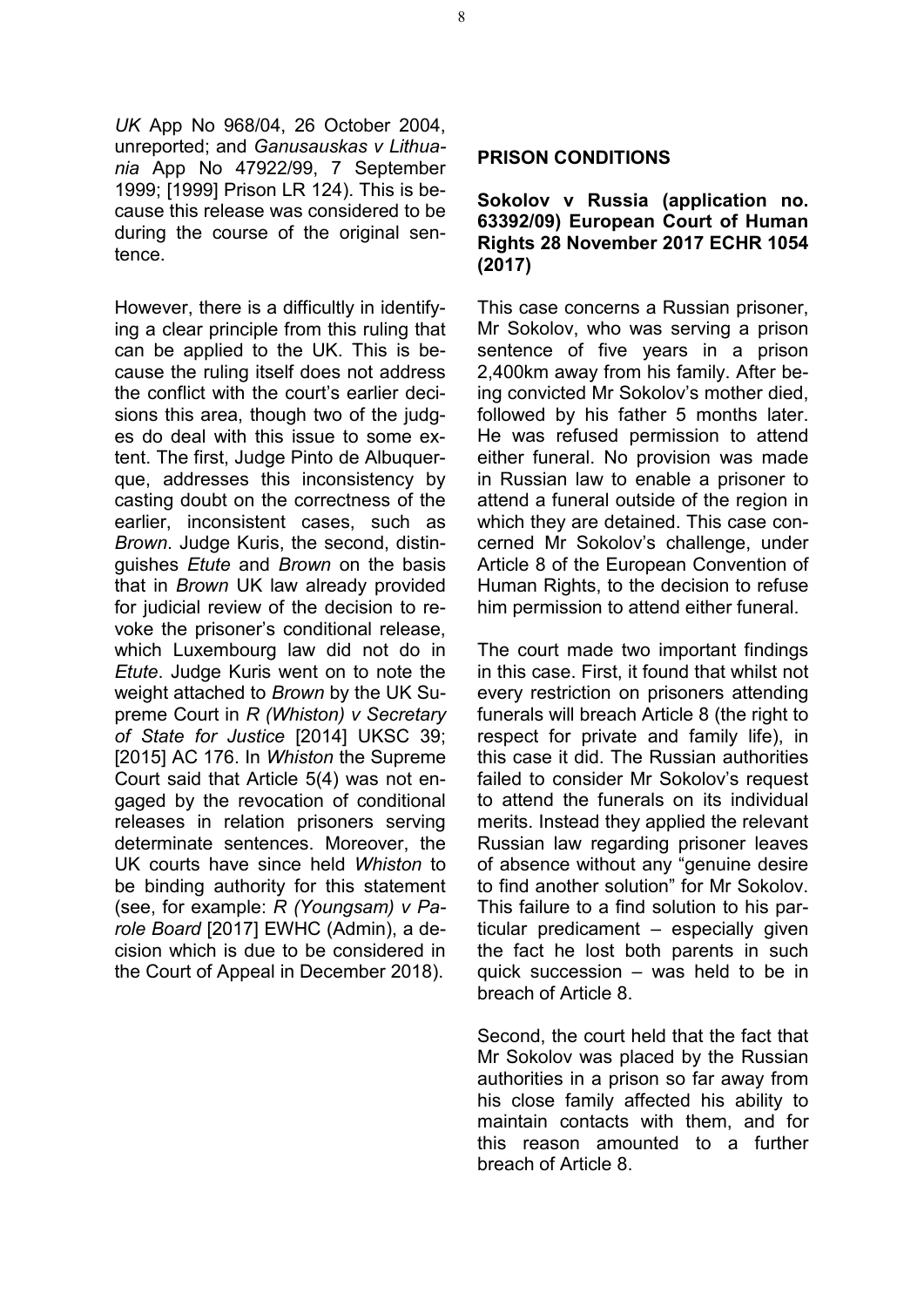*UK* App No 968/04, 26 October 2004, unreported; and *Ganusauskas v Lithuania* App No 47922/99, 7 September 1999; [1999] Prison LR 124). This is because this release was considered to be during the course of the original sentence.

However, there is a difficultly in identifying a clear principle from this ruling that can be applied to the UK. This is because the ruling itself does not address the conflict with the court's earlier decisions this area, though two of the judges do deal with this issue to some extent. The first, Judge Pinto de Albuquerque, addresses this inconsistency by casting doubt on the correctness of the earlier, inconsistent cases, such as *Brown*. Judge Kuris, the second, distinguishes *Etute* and *Brown* on the basis that in *Brown* UK law already provided for judicial review of the decision to revoke the prisoner's conditional release, which Luxembourg law did not do in *Etute*. Judge Kuris went on to note the weight attached to *Brown* by the UK Supreme Court in *R (Whiston) v Secretary of State for Justice* [2014] UKSC 39; [2015] AC 176. In *Whiston* the Supreme Court said that Article 5(4) was not engaged by the revocation of conditional releases in relation prisoners serving determinate sentences. Moreover, the UK courts have since held *Whiston* to be binding authority for this statement (see, for example: *R (Youngsam) v Parole Board* [2017] EWHC (Admin), a decision which is due to be considered in the Court of Appeal in December 2018).

#### **PRISON CONDITIONS**

#### **Sokolov v Russia (application no. 63392/09) European Court of Human Rights 28 November 2017 ECHR 1054 (2017)**

This case concerns a Russian prisoner, Mr Sokolov, who was serving a prison sentence of five years in a prison 2,400km away from his family. After being convicted Mr Sokolov's mother died, followed by his father 5 months later. He was refused permission to attend either funeral. No provision was made in Russian law to enable a prisoner to attend a funeral outside of the region in which they are detained. This case concerned Mr Sokolov's challenge, under Article 8 of the European Convention of Human Rights, to the decision to refuse him permission to attend either funeral.

The court made two important findings in this case. First, it found that whilst not every restriction on prisoners attending funerals will breach Article 8 (the right to respect for private and family life), in this case it did. The Russian authorities failed to consider Mr Sokolov's request to attend the funerals on its individual merits. Instead they applied the relevant Russian law regarding prisoner leaves of absence without any "genuine desire to find another solution" for Mr Sokolov. This failure to a find solution to his particular predicament – especially given the fact he lost both parents in such quick succession – was held to be in breach of Article 8.

Second, the court held that the fact that Mr Sokolov was placed by the Russian authorities in a prison so far away from his close family affected his ability to maintain contacts with them, and for this reason amounted to a further breach of Article 8.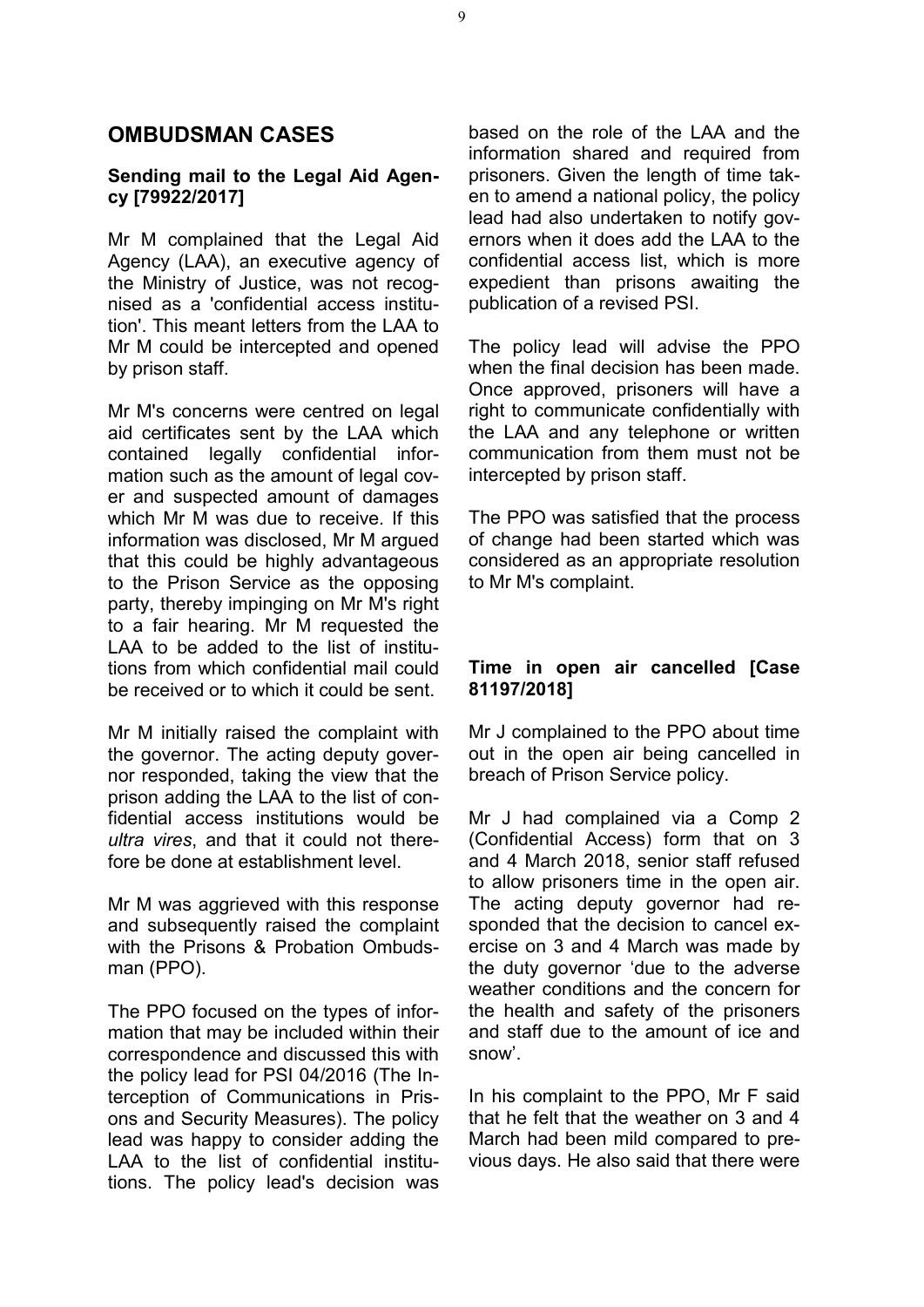# **OMBUDSMAN CASES**

#### **Sending mail to the Legal Aid Agency [79922/2017]**

Mr M complained that the Legal Aid Agency (LAA), an executive agency of the Ministry of Justice, was not recognised as a 'confidential access institution'. This meant letters from the LAA to Mr M could be intercepted and opened by prison staff.

Mr M's concerns were centred on legal aid certificates sent by the LAA which contained legally confidential information such as the amount of legal cover and suspected amount of damages which Mr M was due to receive. If this information was disclosed, Mr M argued that this could be highly advantageous to the Prison Service as the opposing party, thereby impinging on Mr M's right to a fair hearing. Mr M requested the LAA to be added to the list of institutions from which confidential mail could be received or to which it could be sent.

Mr M initially raised the complaint with the governor. The acting deputy governor responded, taking the view that the prison adding the LAA to the list of confidential access institutions would be *ultra vires*, and that it could not therefore be done at establishment level.

Mr M was aggrieved with this response and subsequently raised the complaint with the Prisons & Probation Ombudsman (PPO).

The PPO focused on the types of information that may be included within their correspondence and discussed this with the policy lead for PSI 04/2016 (The Interception of Communications in Prisons and Security Measures). The policy lead was happy to consider adding the LAA to the list of confidential institutions. The policy lead's decision was based on the role of the LAA and the information shared and required from prisoners. Given the length of time taken to amend a national policy, the policy lead had also undertaken to notify governors when it does add the LAA to the confidential access list, which is more expedient than prisons awaiting the publication of a revised PSI.

The policy lead will advise the PPO when the final decision has been made. Once approved, prisoners will have a right to communicate confidentially with the LAA and any telephone or written communication from them must not be intercepted by prison staff.

The PPO was satisfied that the process of change had been started which was considered as an appropriate resolution to Mr M's complaint.

#### **Time in open air cancelled [Case 81197/2018]**

Mr J complained to the PPO about time out in the open air being cancelled in breach of Prison Service policy.

Mr J had complained via a Comp 2 (Confidential Access) form that on 3 and 4 March 2018, senior staff refused to allow prisoners time in the open air. The acting deputy governor had responded that the decision to cancel exercise on 3 and 4 March was made by the duty governor 'due to the adverse weather conditions and the concern for the health and safety of the prisoners and staff due to the amount of ice and snow'.

In his complaint to the PPO, Mr F said that he felt that the weather on 3 and 4 March had been mild compared to previous days. He also said that there were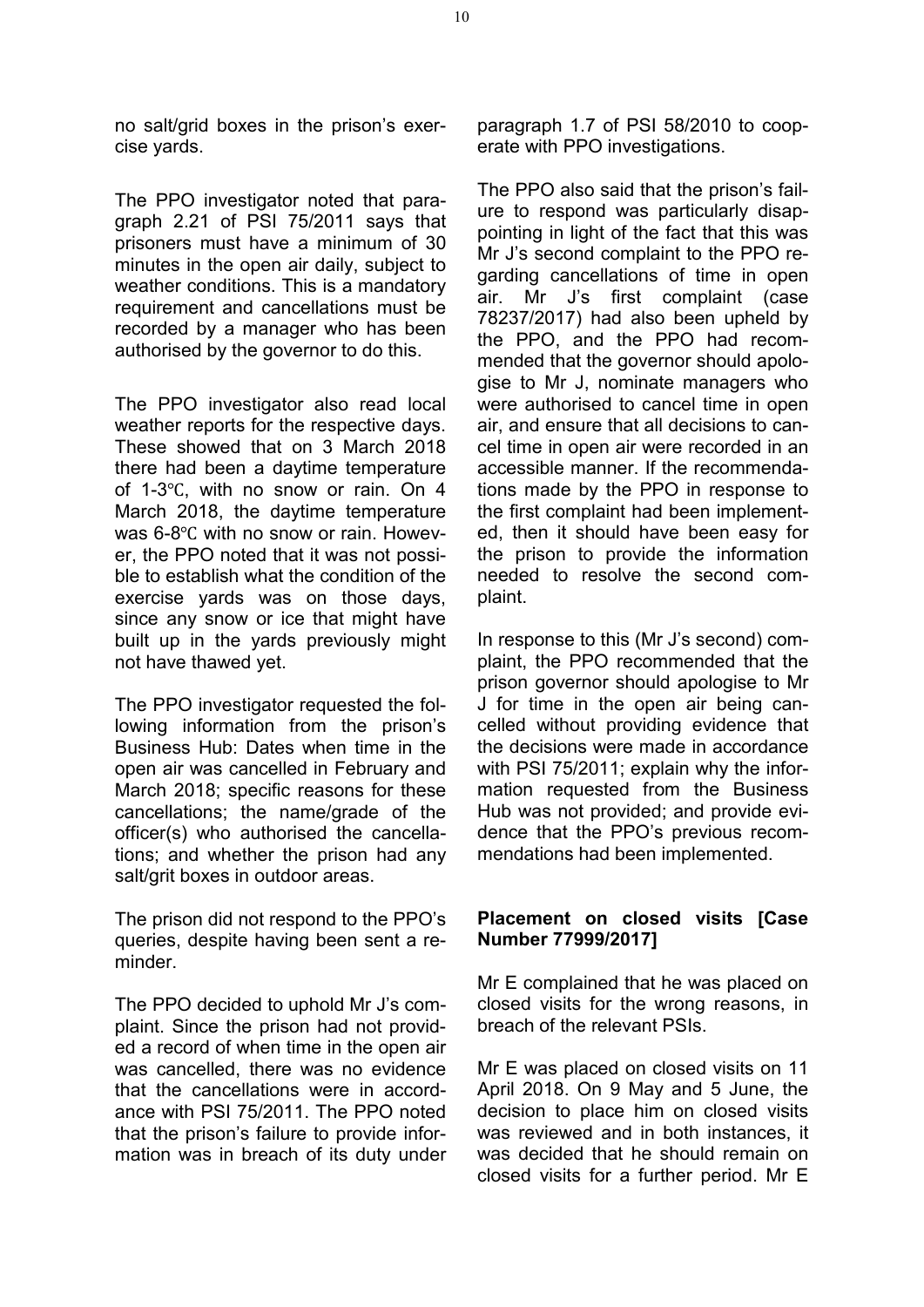no salt/grid boxes in the prison's exercise yards.

The PPO investigator noted that paragraph 2.21 of PSI 75/2011 says that prisoners must have a minimum of 30 minutes in the open air daily, subject to weather conditions. This is a mandatory requirement and cancellations must be recorded by a manager who has been authorised by the governor to do this.

The PPO investigator also read local weather reports for the respective days. These showed that on 3 March 2018 there had been a daytime temperature of 1-3℃, with no snow or rain. On 4 March 2018, the daytime temperature was 6-8℃ with no snow or rain. However, the PPO noted that it was not possible to establish what the condition of the exercise yards was on those days, since any snow or ice that might have built up in the yards previously might not have thawed yet.

The PPO investigator requested the following information from the prison's Business Hub: Dates when time in the open air was cancelled in February and March 2018; specific reasons for these cancellations; the name/grade of the officer(s) who authorised the cancellations; and whether the prison had any salt/grit boxes in outdoor areas.

The prison did not respond to the PPO's queries, despite having been sent a reminder.

The PPO decided to uphold Mr J's complaint. Since the prison had not provided a record of when time in the open air was cancelled, there was no evidence that the cancellations were in accordance with PSI 75/2011. The PPO noted that the prison's failure to provide information was in breach of its duty under paragraph 1.7 of PSI 58/2010 to cooperate with PPO investigations.

The PPO also said that the prison's failure to respond was particularly disappointing in light of the fact that this was Mr J's second complaint to the PPO regarding cancellations of time in open air. Mr J's first complaint (case 78237/2017) had also been upheld by the PPO, and the PPO had recommended that the governor should apologise to Mr J, nominate managers who were authorised to cancel time in open air, and ensure that all decisions to cancel time in open air were recorded in an accessible manner. If the recommendations made by the PPO in response to the first complaint had been implemented, then it should have been easy for the prison to provide the information needed to resolve the second complaint.

In response to this (Mr J's second) complaint, the PPO recommended that the prison governor should apologise to Mr J for time in the open air being cancelled without providing evidence that the decisions were made in accordance with PSI 75/2011; explain why the information requested from the Business Hub was not provided; and provide evidence that the PPO's previous recommendations had been implemented.

#### **Placement on closed visits [Case Number 77999/2017]**

Mr E complained that he was placed on closed visits for the wrong reasons, in breach of the relevant PSIs.

Mr E was placed on closed visits on 11 April 2018. On 9 May and 5 June, the decision to place him on closed visits was reviewed and in both instances, it was decided that he should remain on closed visits for a further period. Mr E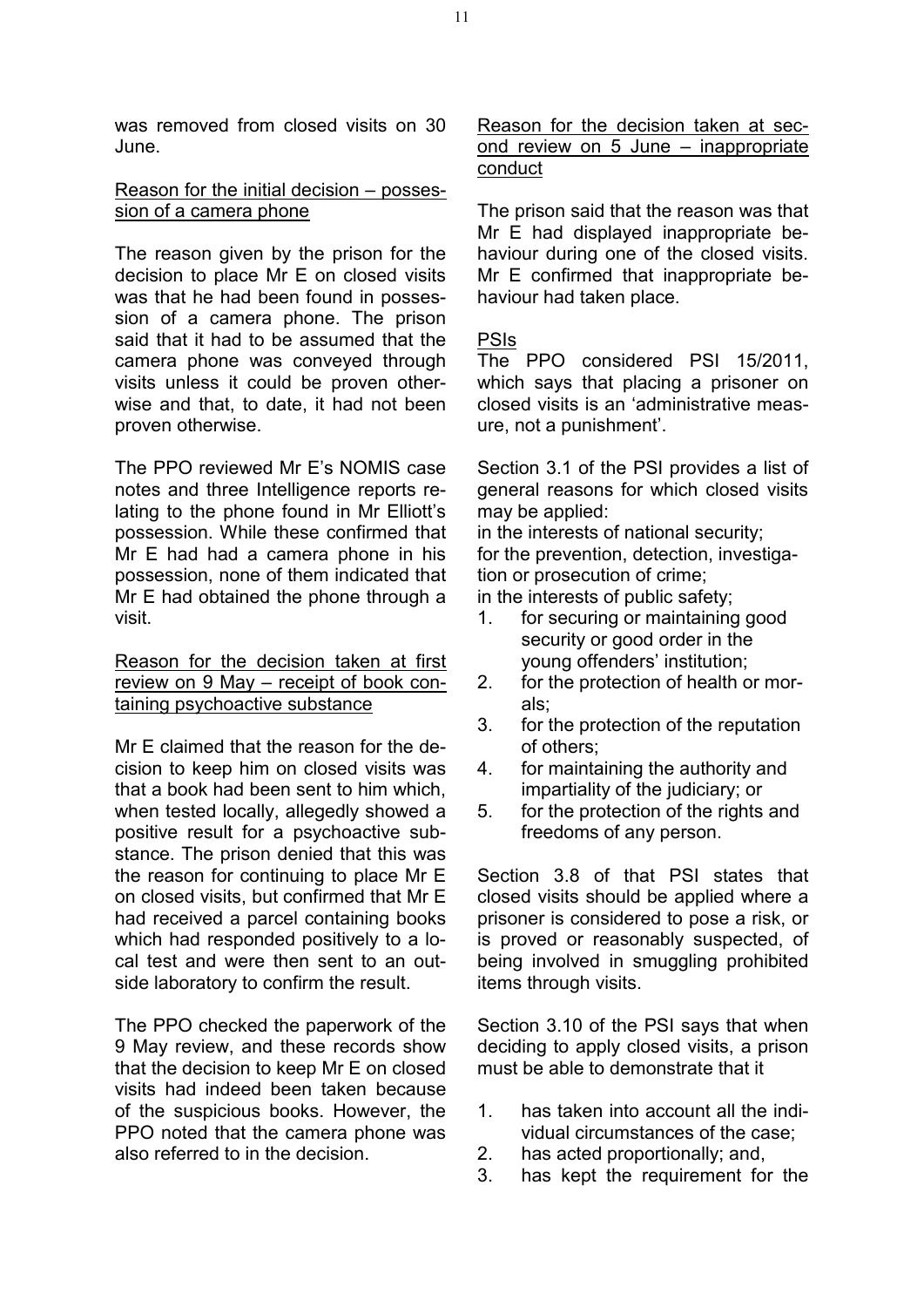was removed from closed visits on 30 June.

#### Reason for the initial decision – possession of a camera phone

The reason given by the prison for the decision to place Mr E on closed visits was that he had been found in possession of a camera phone. The prison said that it had to be assumed that the camera phone was conveyed through visits unless it could be proven otherwise and that, to date, it had not been proven otherwise.

The PPO reviewed Mr E's NOMIS case notes and three Intelligence reports relating to the phone found in Mr Elliott's possession. While these confirmed that Mr E had had a camera phone in his possession, none of them indicated that Mr E had obtained the phone through a visit.

Reason for the decision taken at first review on 9 May – receipt of book containing psychoactive substance

Mr E claimed that the reason for the decision to keep him on closed visits was that a book had been sent to him which, when tested locally, allegedly showed a positive result for a psychoactive substance. The prison denied that this was the reason for continuing to place Mr E on closed visits, but confirmed that Mr E had received a parcel containing books which had responded positively to a local test and were then sent to an outside laboratory to confirm the result.

The PPO checked the paperwork of the 9 May review, and these records show that the decision to keep Mr E on closed visits had indeed been taken because of the suspicious books. However, the PPO noted that the camera phone was also referred to in the decision.

Reason for the decision taken at second review on 5 June – inappropriate conduct

The prison said that the reason was that Mr E had displayed inappropriate behaviour during one of the closed visits. Mr E confirmed that inappropriate behaviour had taken place.

#### PSIs

The PPO considered PSI 15/2011, which says that placing a prisoner on closed visits is an 'administrative measure, not a punishment'.

Section 3.1 of the PSI provides a list of general reasons for which closed visits may be applied:

in the interests of national security; for the prevention, detection, investigation or prosecution of crime;

in the interests of public safety;

- 1. for securing or maintaining good security or good order in the young offenders' institution;
- 2. for the protection of health or morals;
- 3. for the protection of the reputation of others;
- 4. for maintaining the authority and impartiality of the judiciary; or
- 5. for the protection of the rights and freedoms of any person.

Section 3.8 of that PSI states that closed visits should be applied where a prisoner is considered to pose a risk, or is proved or reasonably suspected, of being involved in smuggling prohibited items through visits.

Section 3.10 of the PSI says that when deciding to apply closed visits, a prison must be able to demonstrate that it

- 1. has taken into account all the individual circumstances of the case;
- 2. has acted proportionally; and,
- 3. has kept the requirement for the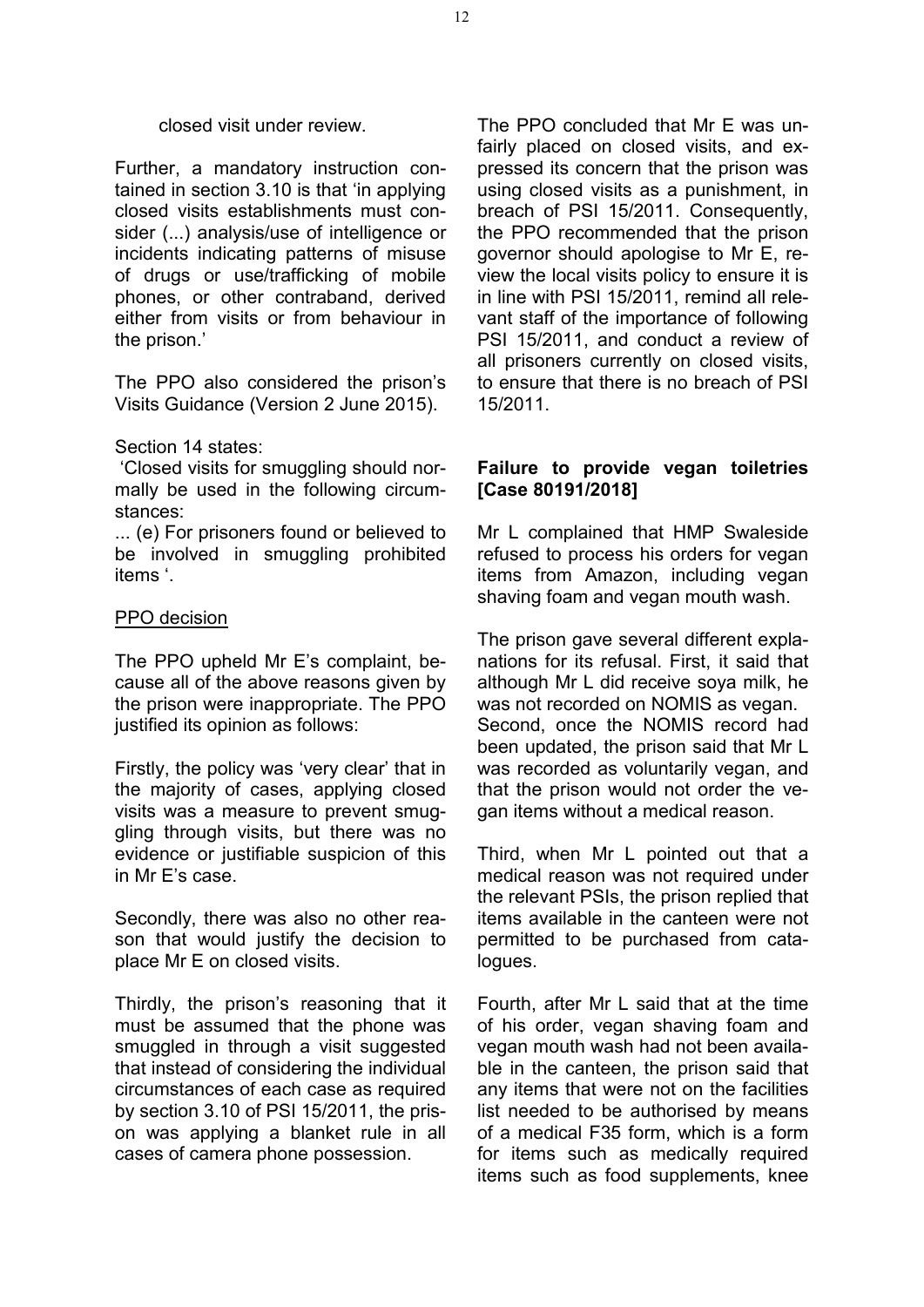#### closed visit under review.

Further, a mandatory instruction contained in section 3.10 is that 'in applying closed visits establishments must consider (...) analysis/use of intelligence or incidents indicating patterns of misuse of drugs or use/trafficking of mobile phones, or other contraband, derived either from visits or from behaviour in the prison.'

The PPO also considered the prison's Visits Guidance (Version 2 June 2015).

#### Section 14 states:

'Closed visits for smuggling should normally be used in the following circumstances:

... (e) For prisoners found or believed to be involved in smuggling prohibited items '.

#### PPO decision

The PPO upheld Mr E's complaint, because all of the above reasons given by the prison were inappropriate. The PPO justified its opinion as follows:

Firstly, the policy was 'very clear' that in the majority of cases, applying closed visits was a measure to prevent smuggling through visits, but there was no evidence or justifiable suspicion of this in Mr E's case.

Secondly, there was also no other reason that would justify the decision to place Mr E on closed visits.

Thirdly, the prison's reasoning that it must be assumed that the phone was smuggled in through a visit suggested that instead of considering the individual circumstances of each case as required by section 3.10 of PSI 15/2011, the prison was applying a blanket rule in all cases of camera phone possession.

The PPO concluded that Mr E was unfairly placed on closed visits, and expressed its concern that the prison was using closed visits as a punishment, in breach of PSI 15/2011. Consequently, the PPO recommended that the prison governor should apologise to Mr E, review the local visits policy to ensure it is in line with PSI 15/2011, remind all relevant staff of the importance of following PSI 15/2011, and conduct a review of all prisoners currently on closed visits, to ensure that there is no breach of PSI 15/2011.

#### **Failure to provide vegan toiletries [Case 80191/2018]**

Mr L complained that HMP Swaleside refused to process his orders for vegan items from Amazon, including vegan shaving foam and vegan mouth wash.

The prison gave several different explanations for its refusal. First, it said that although Mr L did receive soya milk, he was not recorded on NOMIS as vegan. Second, once the NOMIS record had been updated, the prison said that Mr L was recorded as voluntarily vegan, and that the prison would not order the vegan items without a medical reason.

Third, when Mr L pointed out that a medical reason was not required under the relevant PSIs, the prison replied that items available in the canteen were not permitted to be purchased from catalogues.

Fourth, after Mr L said that at the time of his order, vegan shaving foam and vegan mouth wash had not been available in the canteen, the prison said that any items that were not on the facilities list needed to be authorised by means of a medical F35 form, which is a form for items such as medically required items such as food supplements, knee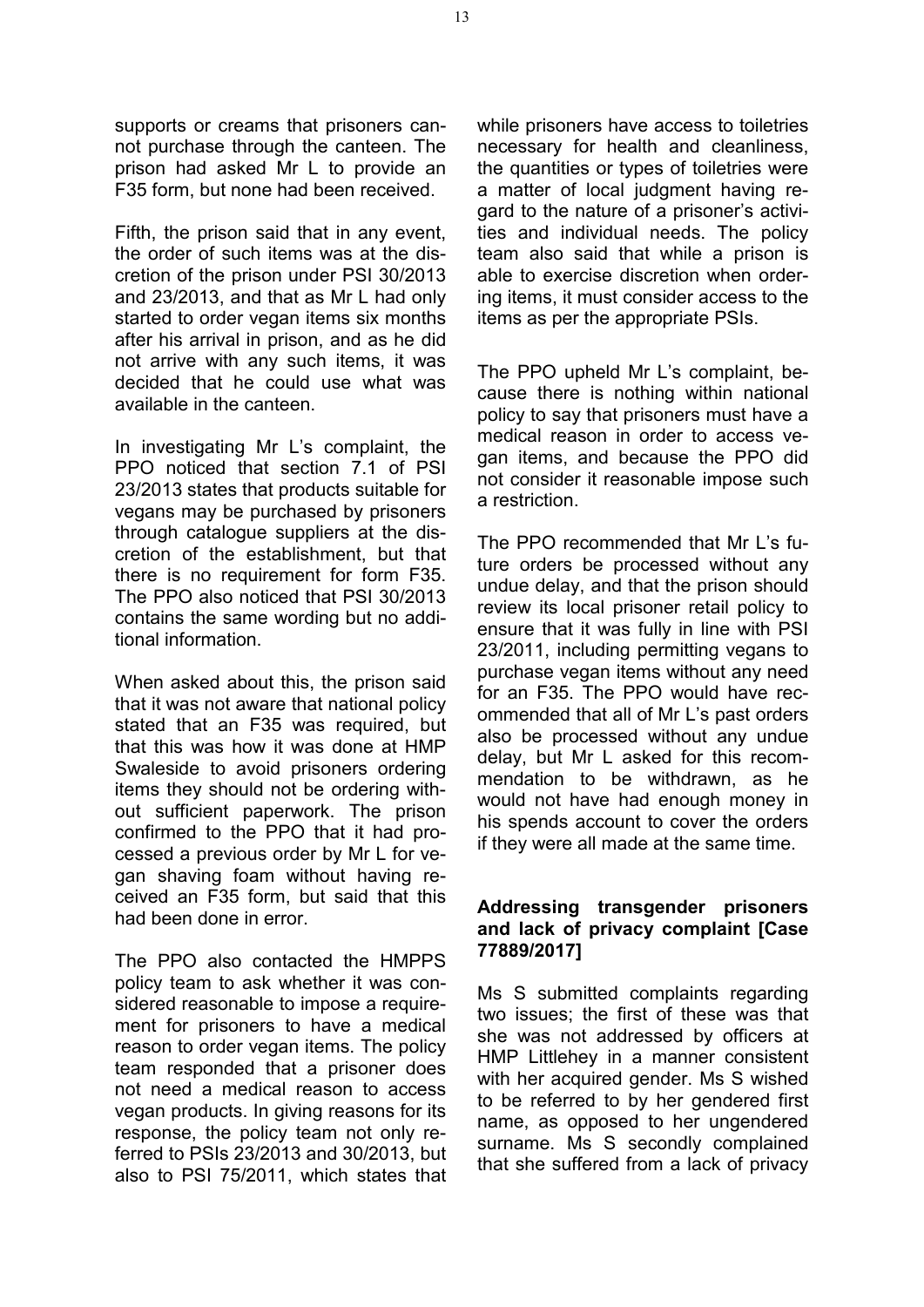supports or creams that prisoners cannot purchase through the canteen. The prison had asked Mr L to provide an F35 form, but none had been received.

Fifth, the prison said that in any event, the order of such items was at the discretion of the prison under PSI 30/2013 and 23/2013, and that as Mr L had only started to order vegan items six months after his arrival in prison, and as he did not arrive with any such items, it was decided that he could use what was available in the canteen.

In investigating Mr L's complaint, the PPO noticed that section 7.1 of PSI 23/2013 states that products suitable for vegans may be purchased by prisoners through catalogue suppliers at the discretion of the establishment, but that there is no requirement for form F35. The PPO also noticed that PSI 30/2013 contains the same wording but no additional information.

When asked about this, the prison said that it was not aware that national policy stated that an F35 was required, but that this was how it was done at HMP Swaleside to avoid prisoners ordering items they should not be ordering without sufficient paperwork. The prison confirmed to the PPO that it had processed a previous order by Mr L for vegan shaving foam without having received an F35 form, but said that this had been done in error.

The PPO also contacted the HMPPS policy team to ask whether it was considered reasonable to impose a requirement for prisoners to have a medical reason to order vegan items. The policy team responded that a prisoner does not need a medical reason to access vegan products. In giving reasons for its response, the policy team not only referred to PSIs 23/2013 and 30/2013, but also to PSI 75/2011, which states that while prisoners have access to toiletries necessary for health and cleanliness, the quantities or types of toiletries were a matter of local judgment having regard to the nature of a prisoner's activities and individual needs. The policy team also said that while a prison is able to exercise discretion when ordering items, it must consider access to the items as per the appropriate PSIs.

The PPO upheld Mr L's complaint, because there is nothing within national policy to say that prisoners must have a medical reason in order to access vegan items, and because the PPO did not consider it reasonable impose such a restriction.

The PPO recommended that Mr L's future orders be processed without any undue delay, and that the prison should review its local prisoner retail policy to ensure that it was fully in line with PSI 23/2011, including permitting vegans to purchase vegan items without any need for an F35. The PPO would have recommended that all of Mr L's past orders also be processed without any undue delay, but Mr L asked for this recommendation to be withdrawn, as he would not have had enough money in his spends account to cover the orders if they were all made at the same time.

#### **Addressing transgender prisoners and lack of privacy complaint [Case 77889/2017]**

Ms S submitted complaints regarding two issues; the first of these was that she was not addressed by officers at HMP Littlehey in a manner consistent with her acquired gender. Ms S wished to be referred to by her gendered first name, as opposed to her ungendered surname. Ms S secondly complained that she suffered from a lack of privacy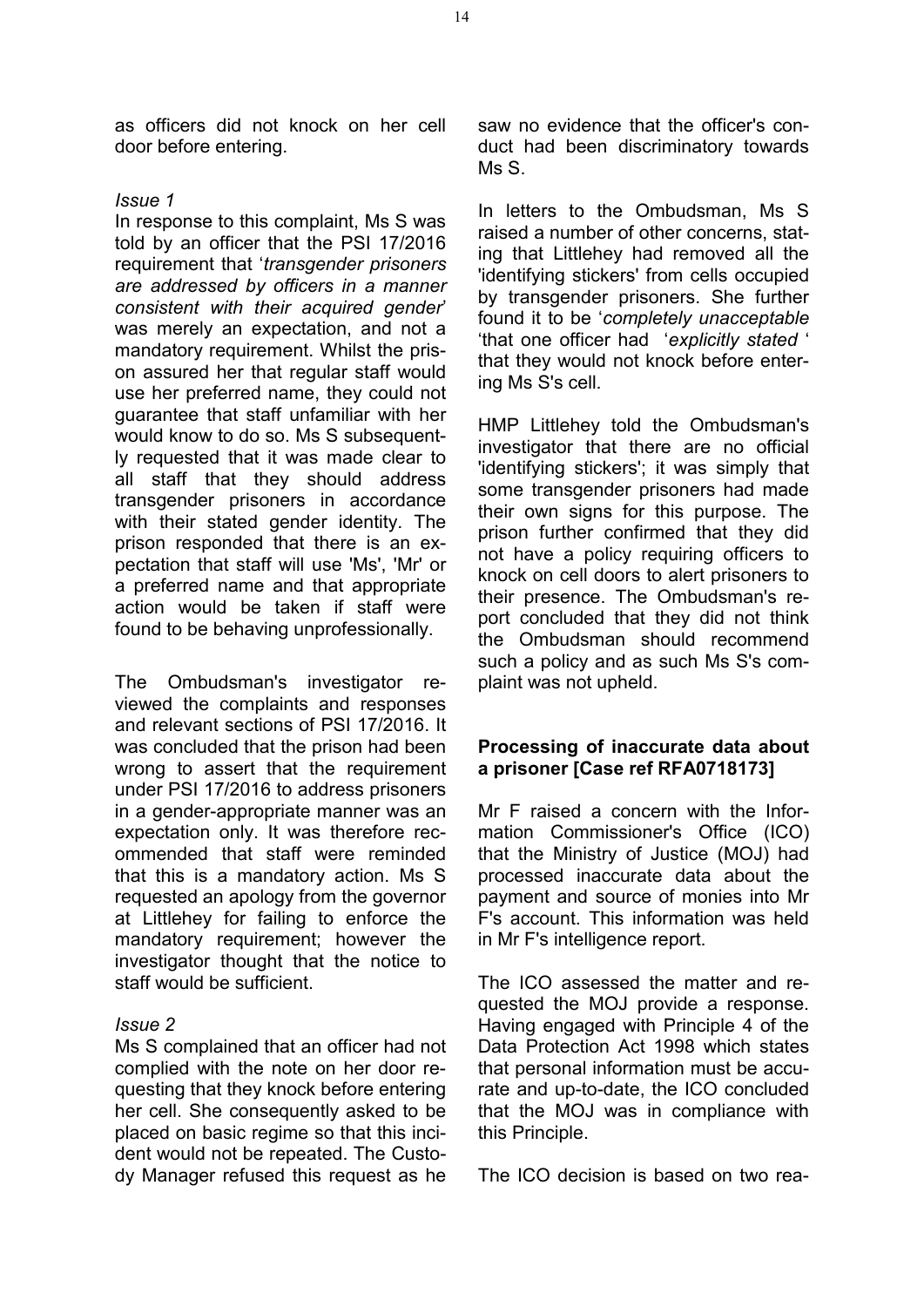as officers did not knock on her cell door before entering.

#### *Issue 1*

In response to this complaint, Ms S was told by an officer that the PSI 17/2016 requirement that '*transgender prisoners are addressed by officers in a manner consistent with their acquired gender*' was merely an expectation, and not a mandatory requirement. Whilst the prison assured her that regular staff would use her preferred name, they could not guarantee that staff unfamiliar with her would know to do so. Ms S subsequently requested that it was made clear to all staff that they should address transgender prisoners in accordance with their stated gender identity. The prison responded that there is an expectation that staff will use 'Ms', 'Mr' or a preferred name and that appropriate action would be taken if staff were found to be behaving unprofessionally.

The Ombudsman's investigator reviewed the complaints and responses and relevant sections of PSI 17/2016. It was concluded that the prison had been wrong to assert that the requirement under PSI 17/2016 to address prisoners in a gender-appropriate manner was an expectation only. It was therefore recommended that staff were reminded that this is a mandatory action. Ms S requested an apology from the governor at Littlehey for failing to enforce the mandatory requirement; however the investigator thought that the notice to staff would be sufficient.

#### *Issue 2*

Ms S complained that an officer had not complied with the note on her door requesting that they knock before entering her cell. She consequently asked to be placed on basic regime so that this incident would not be repeated. The Custody Manager refused this request as he saw no evidence that the officer's conduct had been discriminatory towards Ms S.

In letters to the Ombudsman, Ms S raised a number of other concerns, stating that Littlehey had removed all the 'identifying stickers' from cells occupied by transgender prisoners. She further found it to be '*completely unacceptable* 'that one officer had '*explicitly stated* ' that they would not knock before entering Ms S's cell.

HMP Littlehey told the Ombudsman's investigator that there are no official 'identifying stickers'; it was simply that some transgender prisoners had made their own signs for this purpose. The prison further confirmed that they did not have a policy requiring officers to knock on cell doors to alert prisoners to their presence. The Ombudsman's report concluded that they did not think the Ombudsman should recommend such a policy and as such Ms S's complaint was not upheld.

## **Processing of inaccurate data about a prisoner [Case ref RFA0718173]**

Mr F raised a concern with the Information Commissioner's Office (ICO) that the Ministry of Justice (MOJ) had processed inaccurate data about the payment and source of monies into Mr F's account. This information was held in Mr F's intelligence report.

The ICO assessed the matter and requested the MOJ provide a response. Having engaged with Principle 4 of the Data Protection Act 1998 which states that personal information must be accurate and up-to-date, the ICO concluded that the MOJ was in compliance with this Principle.

The ICO decision is based on two rea-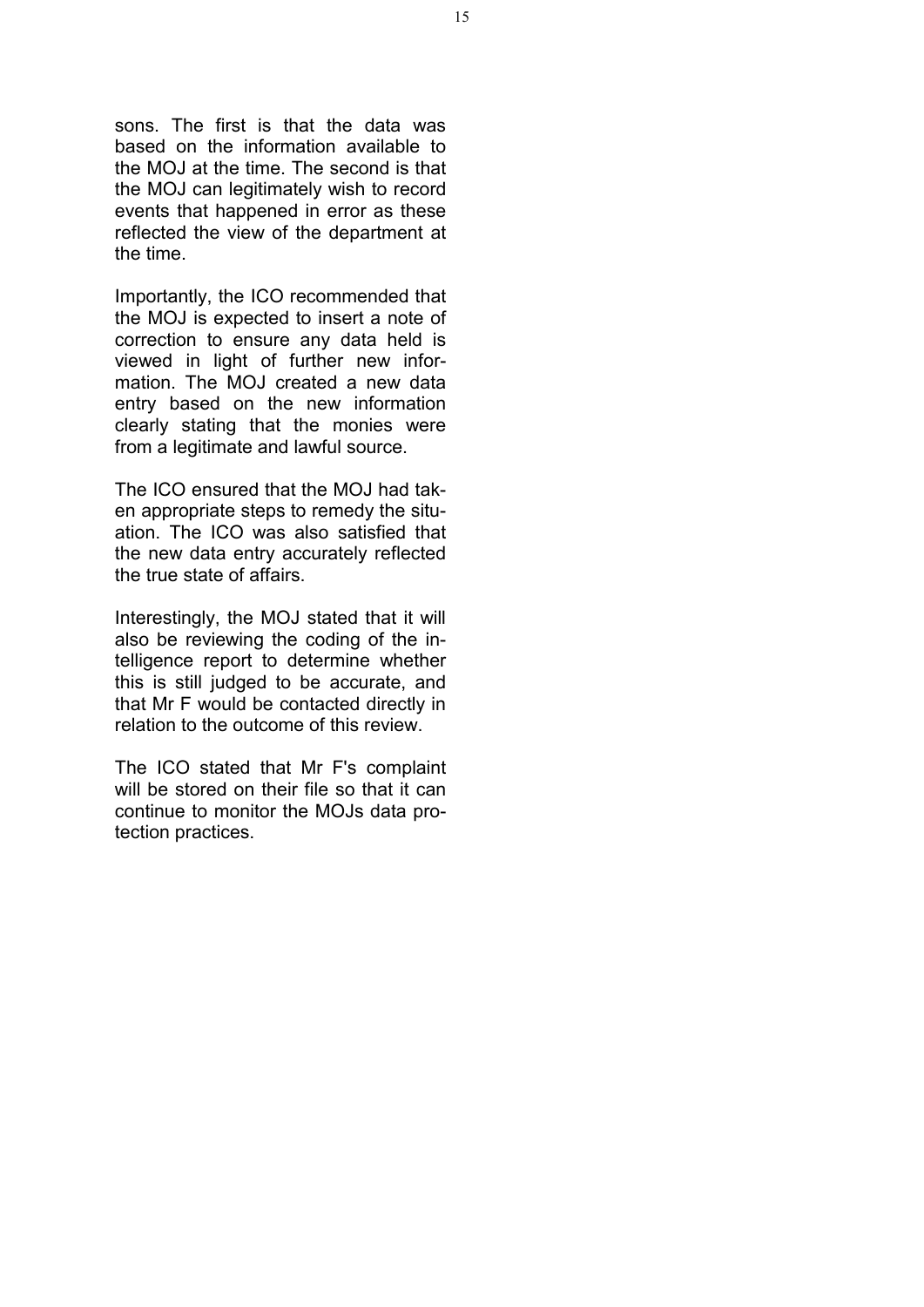sons. The first is that the data was based on the information available to the MOJ at the time. The second is that the MOJ can legitimately wish to record events that happened in error as these reflected the view of the department at the time.

Importantly, the ICO recommended that the MOJ is expected to insert a note of correction to ensure any data held is viewed in light of further new information. The MOJ created a new data entry based on the new information clearly stating that the monies were from a legitimate and lawful source.

The ICO ensured that the MOJ had taken appropriate steps to remedy the situation. The ICO was also satisfied that the new data entry accurately reflected the true state of affairs.

Interestingly, the MOJ stated that it will also be reviewing the coding of the intelligence report to determine whether this is still judged to be accurate, and that Mr F would be contacted directly in relation to the outcome of this review.

The ICO stated that Mr F's complaint will be stored on their file so that it can continue to monitor the MOJs data protection practices.